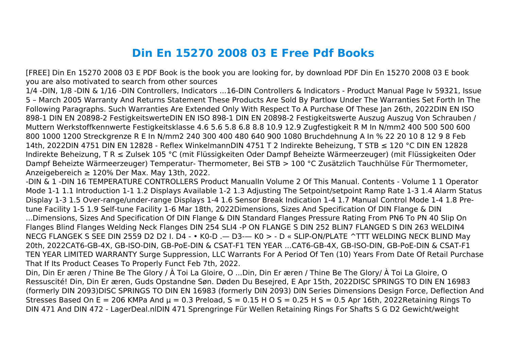## **Din En 15270 2008 03 E Free Pdf Books**

[FREE] Din En 15270 2008 03 E PDF Book is the book you are looking for, by download PDF Din En 15270 2008 03 E book you are also motivated to search from other sources

1/4 -DIN, 1/8 -DIN & 1/16 -DIN Controllers, Indicators ...16-DIN Controllers & Indicators - Product Manual Page Iv 59321, Issue 5 – March 2005 Warranty And Returns Statement These Products Are Sold By Partlow Under The Warranties Set Forth In The Following Paragraphs. Such Warranties Are Extended Only With Respect To A Purchase Of These Jan 26th, 2022DIN EN ISO 898-1 DIN EN 20898-2 FestigkeitswerteDIN EN ISO 898-1 DIN EN 20898-2 Festigkeitswerte Auszug Auszug Von Schrauben / Muttern Werkstoffkennwerte Festigkeitsklasse 4.6 5.6 5.8 6.8 8.8 10.9 12.9 Zugfestigkeit R M In N/mm2 400 500 500 600 800 1000 1200 Streckgrenze R E In N/mm2 240 300 400 480 640 900 1080 Bruchdehnung A In % 22 20 10 8 12 9 8 Feb 14th, 2022DIN 4751 DIN EN 12828 - Reflex WinkelmannDIN 4751 T 2 Indirekte Beheizung, T STB ≤ 120 °C DIN EN 12828 Indirekte Beheizung, T R ≤ Zulsek 105 °C (mit Flüssigkeiten Oder Dampf Beheizte Wärmeerzeuger) (mit Flüssigkeiten Oder Dampf Beheizte Wärmeerzeuger) Temperatur- Thermometer, Bei STB > 100 °C Zusätzlich Tauchhülse Für Thermometer, Anzeigebereich ≥ 120% Der Max. May 13th, 2022.

-DIN & 1 -DIN 16 TEMPERATURE CONTROLLERS Product ManualIn Volume 2 Of This Manual. Contents - Volume 1 1 Operator Mode 1-1 1.1 Introduction 1-1 1.2 Displays Available 1-2 1.3 Adjusting The Setpoint/setpoint Ramp Rate 1-3 1.4 Alarm Status Display 1-3 1.5 Over-range/under-range Displays 1-4 1.6 Sensor Break Indication 1-4 1.7 Manual Control Mode 1-4 1.8 Pretune Facility 1-5 1.9 Self-tune Facility 1-6 Mar 18th, 2022Dimensions, Sizes And Specification Of DIN Flange & DIN ...Dimensions, Sizes And Specification Of DIN Flange & DIN Standard Flanges Pressure Rating From PN6 To PN 40 Slip On Flanges Blind Flanges Welding Neck Flanges DIN 254 SLI4 -P ON FLANGE S DIN 252 BLIN7 FLANGED S DIN 263 WELDIN4 NECG FLANGEK S SEE DIN 2559 D2 D2 I. D4 - • K0-D .— D3-— K0 > - D « SLIP-ON/PLATE ^TTT WELDING NECK BLIND May 20th, 2022CAT6-GB-4X, GB-ISO-DIN, GB-PoE-DIN & CSAT-F1 TEN YEAR ...CAT6-GB-4X, GB-ISO-DIN, GB-PoE-DIN & CSAT-F1 TEN YEAR LIMITED WARRANTY Surge Suppression, LLC Warrants For A Period Of Ten (10) Years From Date Of Retail Purchase That If Its Product Ceases To Properly Funct Feb 7th, 2022.

Din, Din Er æren / Thine Be The Glory / À Toi La Gloire, O ...Din, Din Er æren / Thine Be The Glory/ À Toi La Gloire, O Ressuscité! Din, Din Er æren, Guds Opstandne Søn. Døden Du Besejred, E Apr 15th, 2022DISC SPRINGS TO DIN EN 16983 (formerly DIN 2093)DISC SPRINGS TO DIN EN 16983 (formerly DIN 2093) DIN Series Dimensions Design Force, Deflection And Stresses Based On E = 206 KMPa And  $\mu$  = 0.3 Preload, S = 0.15 H O S = 0.25 H S = 0.5 Apr 16th, 2022Retaining Rings To DIN 471 And DIN 472 - LagerDeal.nlDIN 471 Sprengringe Für Wellen Retaining Rings For Shafts S G D2 Gewicht/weight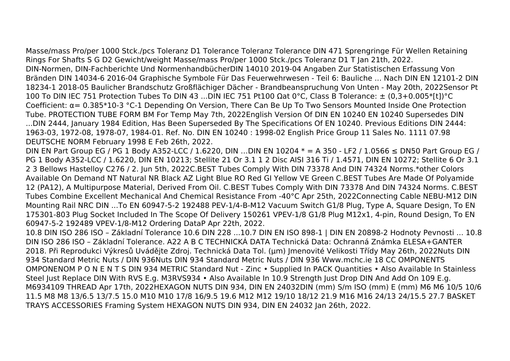Masse/mass Pro/per 1000 Stck./pcs Toleranz D1 Tolerance Toleranz Tolerance DIN 471 Sprengringe Für Wellen Retaining Rings For Shafts S G D2 Gewicht/weight Masse/mass Pro/per 1000 Stck./pcs Toleranz D1 T Jan 21th, 2022. DIN-Normen, DIN-Fachberichte Und NormenhandbücherDIN 14010 2019-04 Angaben Zur Statistischen Erfassung Von Bränden DIN 14034-6 2016-04 Graphische Symbole Für Das Feuerwehrwesen - Teil 6: Bauliche ... Nach DIN EN 12101-2 DIN 18234-1 2018-05 Baulicher Brandschutz Großflächiger Dächer - Brandbeanspruchung Von Unten - May 20th, 2022Sensor Pt 100 To DIN IEC 751 Protection Tubes To DIN 43 ...DIN IEC 751 Pt100 Ωat 0°C, Class B Tolerance: ± (0,3+0.005\*[t])°C Coefficient: α= 0.385\*10-3 °C-1 Depending On Version, There Can Be Up To Two Sensors Mounted Inside One Protection Tube. PROTECTION TUBE FORM BM For Temp May 7th, 2022English Version Of DIN EN 10240 EN 10240 Supersedes DIN ...DIN 2444, January 1984 Edition, Has Been Superseded By The Specifications Of EN 10240. Previous Editions DIN 2444: 1963-03, 1972-08, 1978-07, 1984-01. Ref. No. DIN EN 10240 : 1998-02 English Price Group 11 Sales No. 1111 07.98 DEUTSCHE NORM February 1998 E Feb 26th, 2022.

DIN EN Part Group EG / PG 1 Body A352-LCC / 1.6220, DIN …DIN EN 10204  $* = A$  350 - LF2 / 1.0566 ≤ DN50 Part Group EG / PG 1 Body A352-LCC / 1.6220, DIN EN 10213; Stellite 21 Or 3.1 1 2 Disc AISI 316 Ti / 1.4571, DIN EN 10272; Stellite 6 Or 3.1 2 3 Bellows Hastelloy C276 / 2. Jun 5th, 2022C.BEST Tubes Comply With DIN 73378 And DIN 74324 Norms.\*other Colors Available On Demand NT Natural NR Black AZ Light Blue RO Red GI Yellow VE Green C.BEST Tubes Are Made Of Polyamide 12 (PA12), A Multipurpose Material, Derived From Oil. C.BEST Tubes Comply With DIN 73378 And DIN 74324 Norms. C.BEST Tubes Combine Excellent Mechanical And Chemical Resistance From -40°C Apr 25th, 2022Connecting Cable NEBU-M12 DIN Mounting Rail NRC DIN ...To EN 60947-5-2 192488 PEV-1/4-B-M12 Vacuum Switch G1/8 Plug, Type A, Square Design, To EN 175301-803 Plug Socket Included In The Scope Of Delivery 150261 VPEV-1/8 G1/8 Plug M12x1, 4-pin, Round Design, To EN 60947-5-2 192489 VPEV-1/8-M12 Ordering DataP Apr 22th, 2022.

10.8 DIN ISO 286 ISO – Základní Tolerance 10.6 DIN 228 ...10.7 DIN EN ISO 898-1 | DIN EN 20898-2 Hodnoty Pevnosti ... 10.8 DIN ISO 286 ISO – Základní Tolerance. A22 A B C TECHNICKÁ DATA Technická Data: Ochranná Známka ELESA+GANTER 2018. Při Reprodukci Výkresů Uvádějte Zdroj. Technická Data Tol. (μm) Jmenovité Velikosti Třídy May 26th, 2022Nuts DIN 934 Standard Metric Nuts / DIN 936Nuts DIN 934 Standard Metric Nuts / DIN 936 Www.mchc.ie 18 CC OMPONENTS OMPONENOM P O N E N T S DIN 934 METRIC Standard Nut - Zinc • Supplied In PACK Quantities • Also Available In Stainless Steel Just Replace DIN With RVS E.g. M3RVS934 • Also Available In 10.9 Strength Just Drop DIN And Add On 109 E.g. M6934109 THREAD Apr 17th, 2022HEXAGON NUTS DIN 934, DIN EN 24032DIN (mm) S/m ISO (mm) E (mm) M6 M6 10/5 10/6 11.5 M8 M8 13/6.5 13/7.5 15.0 M10 M10 17/8 16/9.5 19.6 M12 M12 19/10 18/12 21.9 M16 M16 24/13 24/15.5 27.7 BASKET TRAYS ACCESSORIES Framing System HEXAGON NUTS DIN 934, DIN EN 24032 Jan 26th, 2022.